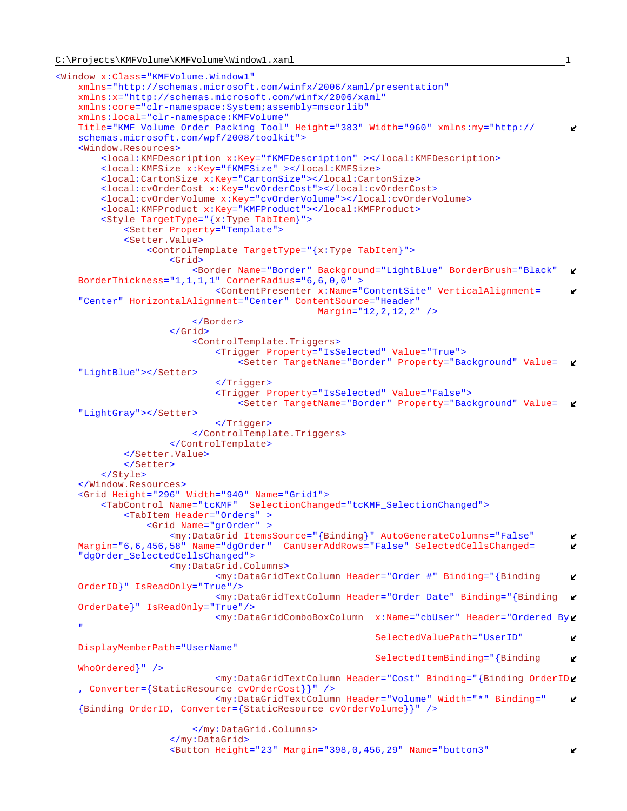```
<Window x:Class="KMFVolume.Window1"
    xmlns="http://schemas.microsoft.com/winfx/2006/xaml/presentation"
    xmlns:x="http://schemas.microsoft.com/winfx/2006/xaml"
    xmlns:core="clr-namespace:System;assembly=mscorlib"
    xmlns:local="clr-namespace:KMFVolume"
    Title="KMF Volume Order Packing Tool" Height="383" Width="960" xmlns:my="http://
                                                                                             \mathbf{v}schemas.microsoft.com/wpf/2008/toolkit">
    <Window.Resources>
         <local:KMFDescription x:Key="fKMFDescription" ></local:KMFDescription>
         <local:KMFSize x:Key="fKMFSize" ></local:KMFSize>
        <local:CartonSize x:Key="CartonSize"></local:CartonSize>
         <local:cvOrderCost x:Key="cvOrderCost"></local:cvOrderCost>
         <local:cvOrderVolume x:Key="cvOrderVolume"></local:cvOrderVolume>
        <local:KMFProduct x:Key="KMFProduct"></local:KMFProduct>
         <Style TargetType="{x:Type TabItem}">
             <Setter Property="Template">
             <Setter.Value>
                 <ControlTemplate TargetType="{x:Type TabItem}">
                     <Grid>
                         <Border Name="Border" Background="LightBlue" BorderBrush="Black"
                                                                                             K.
   BorderThickness="1,1,1,1" CornerRadius="6,6,0,0" >
                             <ContentPresenter x:Name="ContentSite" VerticalAlignment=
                                                                                             K.
    "Center" HorizontalAlignment="Center" ContentSource="Header"
                                               Margin="12,2,12,2" />
                         </Border>
                     </Grid>
                         <ControlTemplate.Triggers>
                             <Trigger Property="IsSelected" Value="True">
                                 <Setter TargetName="Border" Property="Background" Value=
    "LightBlue"></Setter>
                             </Trigger>
                            <Trigger Property="IsSelected" Value="False">
                                 <Setter TargetName="Border" Property="Background" Value=
    "LightGray"></Setter>
                             </Trigger>
                         </ControlTemplate.Triggers>
                     </ControlTemplate>
             </Setter.Value>
             </Setter>
         </Style>
    </Window.Resources>
     <Grid Height="296" Width="940" Name="Grid1">
         <TabControl Name="tcKMF" SelectionChanged="tcKMF_SelectionChanged">
             <TabItem Header="Orders" >
                 <Grid Name="grOrder" >
                     <my:DataGrid ItemsSource="{Binding}" AutoGenerateColumns="False"
                                                                                             v
   Margin="6,6,456,58" Name="dgOrder" CanUserAddRows="False" SelectedCellsChanged=
                                                                                             V.
    "dgOrder_SelectedCellsChanged">
                     <my:DataGrid.Columns>
                             <my:DataGridTextColumn Header="Order #" Binding="{Binding
                                                                                             V
   OrderID}" IsReadOnly="True"/>
                             <my:DataGridTextColumn Header="Order Date" Binding="{Binding
   OrderDate}" IsReadOnly="True"/>
                             <my:DataGridComboBoxColumn x:Name="cbUser" Header="Ordered By
    " 
                                                          SelectedValuePath="UserID"
                                                                                             K.
   DisplayMemberPath="UserName" 
                                                          SelectedItemBinding="{Binding
                                                                                             K.
   WhoOrdered}" />
                             <my:DataGridTextColumn Header="Cost" Binding="{Binding OrderID
    , Converter={StaticResource cvOrderCost}}" />
                             <my:DataGridTextColumn Header="Volume" Width="*" Binding="
                                                                                             K.
    {Binding OrderID, Converter={StaticResource cvOrderVolume}}" />
                         </my:DataGrid.Columns>
                     </my:DataGrid>
                     <Button Height="23" Margin="398,0,456,29" Name="button3"K.
```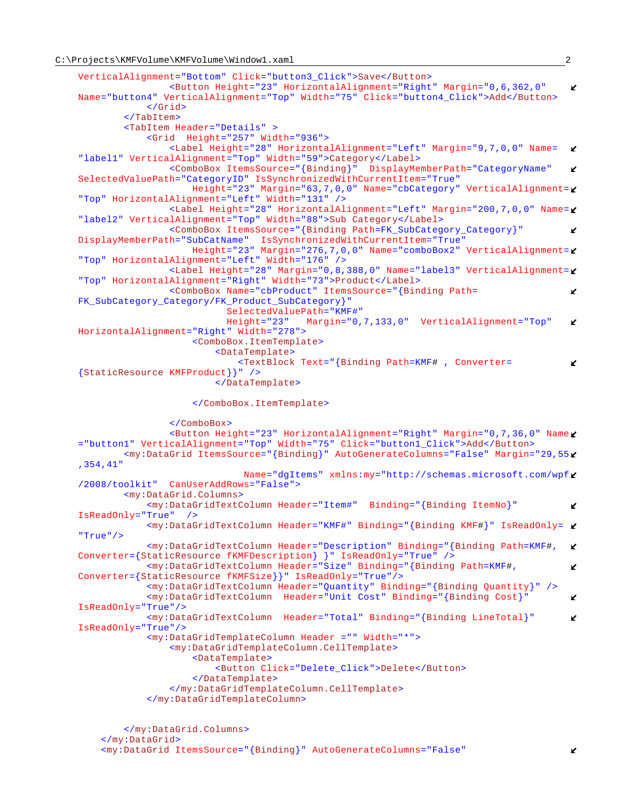```
VerticalAlignment="Bottom" Click="button3_Click">Save</Button>
                 <Button Height="23" HorizontalAlignment="Right" Margin="0,6,362,0"
                                                                                         K.
Name="button4" VerticalAlignment="Top" Width="75" Click="button4_Click">Add</Button>
             </Grid>
         </TabItem>
         <TabItem Header="Details" >
             <Grid Height="257" Width="936">
                 <Label Height="28" HorizontalAlignment="Left" Margin="9,7,0,0" Name=
                                                                                         K
"label1" VerticalAlignment="Top" Width="59">Category</Label>
                 <ComboBox ItemsSource="{Binding}" DisplayMemberPath="CategoryName"
                                                                                         K
SelectedValuePath="CategoryID" IsSynchronizedWithCurrentItem="True"
                     Height="23" Margin="63,7,0,0" Name="cbCategory" VerticalAlignment=
"Top" HorizontalAlignment="Left" Width="131" />
                 <Label Height="28" HorizontalAlignment="Left" Margin="200,7,0,0" Name=
"label2" VerticalAlignment="Top" Width="88">Sub Category</Label>
                 <ComboBox ItemsSource="{Binding Path=FK_SubCategory_Category}"
                                                                                         K
DisplayMemberPath="SubCatName" IsSynchronizedWithCurrentItem="True"
                     Height="23" Margin="276,7,0,0" Name="comboBox2" VerticalAlignment=
"Top" HorizontalAlignment="Left" Width="176" />
                 <Label Height="28" Margin="0,8,388,0" Name="label3" VerticalAlignment=
"Top" HorizontalAlignment="Right" Width="73">Product</Label>
                 <ComboBox Name="cbProduct" ItemsSource="{Binding Path=
                                                                                         K.
FK_SubCategory_Category/FK_Product_SubCategory}" 
                          SelectedValuePath="KMF#"<br>Height="23" Margin="0,
                                        Margin="0,7,133,0" VerticalAlignment="Top"
                                                                                         V.
HorizontalAlignment="Right" Width="278">
                     <ComboBox.ItemTemplate>
                          <DataTemplate>
                              <TextBlock Text="{Binding Path=KMF# , Converter=
                                                                                         V.
{StaticResource KMFProduct}}" />
                          </DataTemplate>
                     </ComboBox.ItemTemplate>
                 </ComboBox>
                <Button Height="23" HorizontalAlignment="Right" Margin="0,7,36,0" Name
="button1" VerticalAlignment="Top" Width="75" Click="button1_Click">Add</Button>
         <my:DataGrid ItemsSource="{Binding}" AutoGenerateColumns="False" Margin="29,55
,354,41"
                              Name="dgItems" xmlns:my="http://schemas.microsoft.com/wpf
/2008/toolkit" CanUserAddRows="False">
         <my:DataGrid.Columns>
             <my:DataGridTextColumn Header="Item#" Binding="{Binding ItemNo}"
                                                                                         V.
IsReadOnly="True" />
             <my:DataGridTextColumn Header="KMF#" Binding="{Binding KMF#}" IsReadOnly=
"True"/>
             <my:DataGridTextColumn Header="Description" Binding="{Binding Path=KMF#,
                                                                                         K.
Converter={StaticResource fKMFDescription} }" IsReadOnly="True" />
             <my:DataGridTextColumn Header="Size" Binding="{Binding Path=KMF#,
                                                                                         V.
Converter={StaticResource fKMFSize}}" IsReadOnly="True"/>
             <my:DataGridTextColumn Header="Quantity" Binding="{Binding Quantity}" />
             <my:DataGridTextColumn Header="Unit Cost" Binding="{Binding Cost}"
                                                                                         K
IsReadOnly="True"/>
             <my:DataGridTextColumn Header="Total" Binding="{Binding LineTotal}"
                                                                                         \mathbf{v}IsReadOnly="True"/>
             <my:DataGridTemplateColumn Header ="" Width="*">
                 <my:DataGridTemplateColumn.CellTemplate>
                     <DataTemplate>
                         <Button Click="Delete_Click">Delete</Button>
                     </DataTemplate>
                 </my:DataGridTemplateColumn.CellTemplate>
             </my:DataGridTemplateColumn>
         </my:DataGrid.Columns>
     </my:DataGrid>
```
<my:DataGrid ItemsSource="{Binding}" AutoGenerateColumns="False"

K.